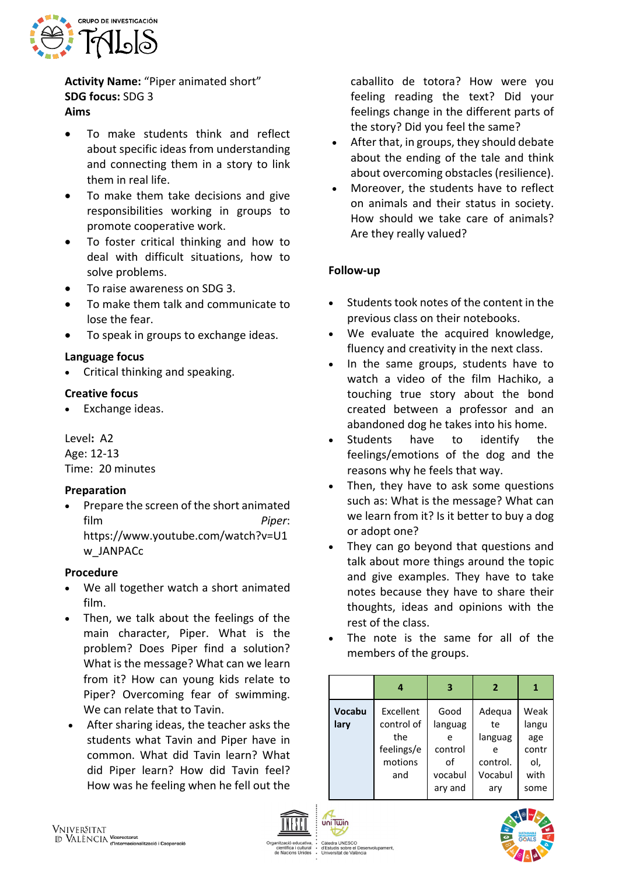

**Activity Name:** "Piper animated short" **SDG focus:** SDG 3 **Aims**

- 
- To make students think and reflect about specific ideas from understanding and connecting them in a story to link them in real life.
- To make them take decisions and give responsibilities working in groups to promote cooperative work.
- To foster critical thinking and how to deal with difficult situations, how to solve problems.
- To raise awareness on SDG 3.
- To make them talk and communicate to lose the fear.
- To speak in groups to exchange ideas.

# **Language focus**

• Critical thinking and speaking.

## **Creative focus**

• Exchange ideas.

Level**:** A2 Age: 12-13 Time: 20 minutes

### **Preparation**

• Prepare the screen of the short animated film *Piper*: https://www.youtube.com/watch?v=U1 w\_JANPACc

### **Procedure**

- We all together watch a short animated film.
- Then, we talk about the feelings of the main character, Piper. What is the problem? Does Piper find a solution? What is the message? What can we learn from it? How can young kids relate to Piper? Overcoming fear of swimming. We can relate that to Tavin.
- After sharing ideas, the teacher asks the students what Tavin and Piper have in common. What did Tavin learn? What did Piper learn? How did Tavin feel? How was he feeling when he fell out the

caballito de totora? How were you feeling reading the text? Did your feelings change in the different parts of the story? Did you feel the same?

- After that, in groups, they should debate about the ending of the tale and think about overcoming obstacles (resilience).
- Moreover, the students have to reflect on animals and their status in society. How should we take care of animals? Are they really valued?

# **Follow-up**

- Students took notes of the content in the previous class on their notebooks.
- We evaluate the acquired knowledge, fluency and creativity in the next class.
- In the same groups, students have to watch a video of the film Hachiko, a touching true story about the bond created between a professor and an abandoned dog he takes into his home.
- Students have to identify the feelings/emotions of the dog and the reasons why he feels that way.
- Then, they have to ask some questions such as: What is the message? What can we learn from it? Is it better to buy a dog or adopt one?
- They can go beyond that questions and talk about more things around the topic and give examples. They have to take notes because they have to share their thoughts, ideas and opinions with the rest of the class.
- The note is the same for all of the members of the groups.

|        | 4          | 3       | $\overline{2}$ | 1     |
|--------|------------|---------|----------------|-------|
| Vocabu | Excellent  | Good    | Adequa         | Weak  |
| lary   | control of | languag | te             | langu |
|        | the        | e       | languag        | age   |
|        | feelings/e | control |                | contr |
|        | motions    | οf      | control.       | ol,   |
|        | and        | vocabul | Vocabul        | with  |
|        |            | ary and | ary            | some  |
|        |            |         |                |       |



uniTwin

∪∪<br>∶el Des uis sobre el Des<br>sitat de València